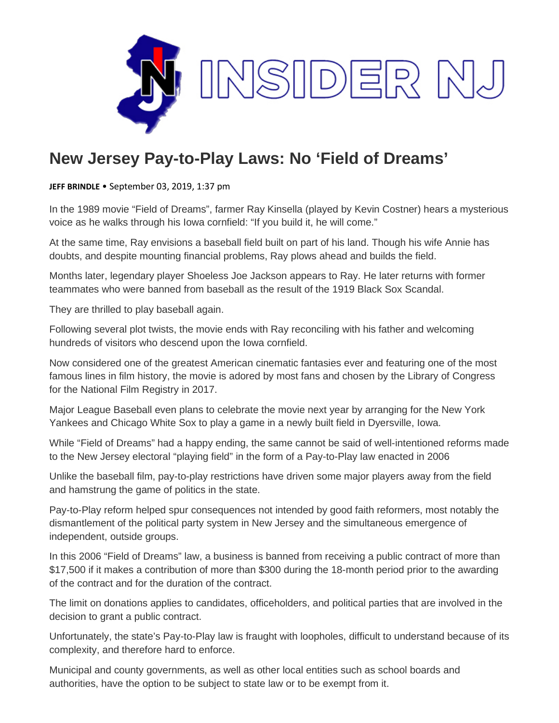

## **New Jersey Pay-to-Play Laws: No 'Field of Dreams'**

**JEFF BRINDLE** • September 03, 2019, 1:37 pm

In the 1989 movie "Field of Dreams", farmer Ray Kinsella (played by Kevin Costner) hears a mysterious voice as he walks through his Iowa cornfield: "If you build it, he will come."

At the same time, Ray envisions a baseball field built on part of his land. Though his wife Annie has doubts, and despite mounting financial problems, Ray plows ahead and builds the field.

Months later, legendary player Shoeless Joe Jackson appears to Ray. He later returns with former teammates who were banned from baseball as the result of the 1919 Black Sox Scandal.

They are thrilled to play baseball again.

Following several plot twists, the movie ends with Ray reconciling with his father and welcoming hundreds of visitors who descend upon the Iowa cornfield.

Now considered one of the greatest American cinematic fantasies ever and featuring one of the most famous lines in film history, the movie is adored by most fans and chosen by the Library of Congress for the National Film Registry in 2017.

Major League Baseball even plans to celebrate the movie next year by arranging for the New York Yankees and Chicago White Sox to play a game in a newly built field in Dyersville, Iowa.

While "Field of Dreams" had a happy ending, the same cannot be said of well-intentioned reforms made to the New Jersey electoral "playing field" in the form of a Pay-to-Play law enacted in 2006

Unlike the baseball film, pay-to-play restrictions have driven some major players away from the field and hamstrung the game of politics in the state.

Pay-to-Play reform helped spur consequences not intended by good faith reformers, most notably the dismantlement of the political party system in New Jersey and the simultaneous emergence of independent, outside groups.

In this 2006 "Field of Dreams" law, a business is banned from receiving a public contract of more than \$17,500 if it makes a contribution of more than \$300 during the 18-month period prior to the awarding of the contract and for the duration of the contract.

The limit on donations applies to candidates, officeholders, and political parties that are involved in the decision to grant a public contract.

Unfortunately, the state's Pay-to-Play law is fraught with loopholes, difficult to understand because of its complexity, and therefore hard to enforce.

Municipal and county governments, as well as other local entities such as school boards and authorities, have the option to be subject to state law or to be exempt from it.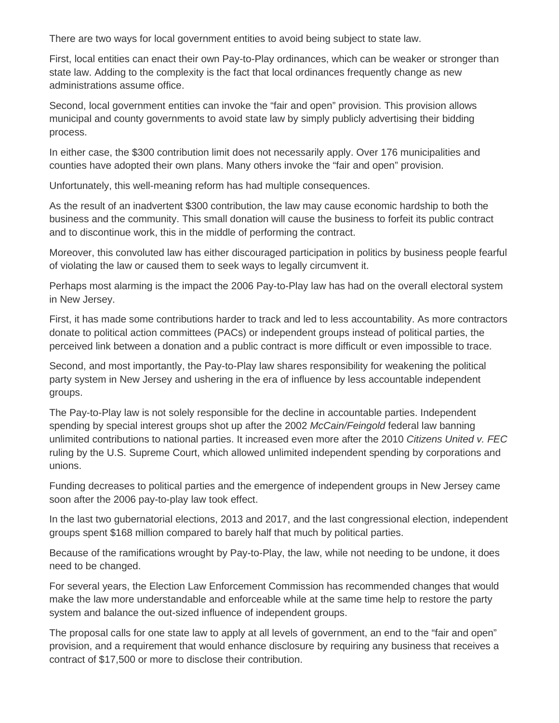There are two ways for local government entities to avoid being subject to state law.

First, local entities can enact their own Pay-to-Play ordinances, which can be weaker or stronger than state law. Adding to the complexity is the fact that local ordinances frequently change as new administrations assume office.

Second, local government entities can invoke the "fair and open" provision. This provision allows municipal and county governments to avoid state law by simply publicly advertising their bidding process.

In either case, the \$300 contribution limit does not necessarily apply. Over 176 municipalities and counties have adopted their own plans. Many others invoke the "fair and open" provision.

Unfortunately, this well-meaning reform has had multiple consequences.

As the result of an inadvertent \$300 contribution, the law may cause economic hardship to both the business and the community. This small donation will cause the business to forfeit its public contract and to discontinue work, this in the middle of performing the contract.

Moreover, this convoluted law has either discouraged participation in politics by business people fearful of violating the law or caused them to seek ways to legally circumvent it.

Perhaps most alarming is the impact the 2006 Pay-to-Play law has had on the overall electoral system in New Jersey.

First, it has made some contributions harder to track and led to less accountability. As more contractors donate to political action committees (PACs) or independent groups instead of political parties, the perceived link between a donation and a public contract is more difficult or even impossible to trace.

Second, and most importantly, the Pay-to-Play law shares responsibility for weakening the political party system in New Jersey and ushering in the era of influence by less accountable independent groups.

The Pay-to-Play law is not solely responsible for the decline in accountable parties. Independent spending by special interest groups shot up after the 2002 *McCain/Feingold* federal law banning unlimited contributions to national parties. It increased even more after the 2010 *Citizens United v. FEC* ruling by the U.S. Supreme Court, which allowed unlimited independent spending by corporations and unions.

Funding decreases to political parties and the emergence of independent groups in New Jersey came soon after the 2006 pay-to-play law took effect.

In the last two gubernatorial elections, 2013 and 2017, and the last congressional election, independent groups spent \$168 million compared to barely half that much by political parties.

Because of the ramifications wrought by Pay-to-Play, the law, while not needing to be undone, it does need to be changed.

For several years, the Election Law Enforcement Commission has recommended changes that would make the law more understandable and enforceable while at the same time help to restore the party system and balance the out-sized influence of independent groups.

The proposal calls for one state law to apply at all levels of government, an end to the "fair and open" provision, and a requirement that would enhance disclosure by requiring any business that receives a contract of \$17,500 or more to disclose their contribution.